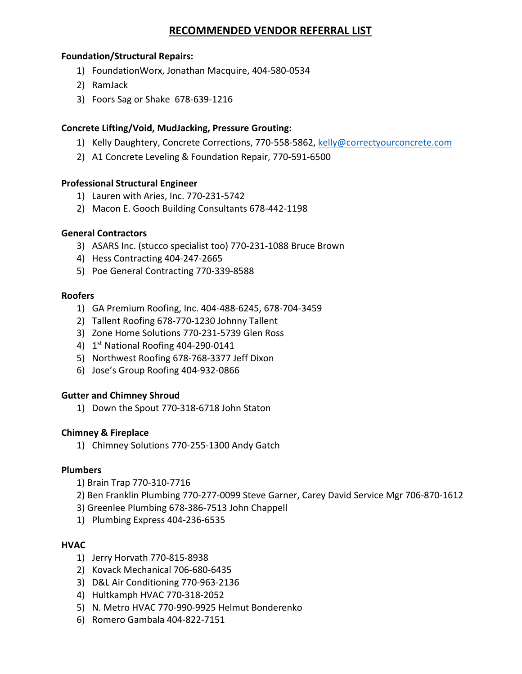# **RECOMMENDED VENDOR REFERRAL LIST**

### **Foundation/Structural Repairs:**

- 1) FoundationWorx, Jonathan Macquire, 404‐580‐0534
- 2) RamJack
- 3) Foors Sag or Shake 678‐639‐1216

### **Concrete Lifting/Void, MudJacking, Pressure Grouting:**

- 1) Kelly Daughtery, Concrete Corrections, 770‐558‐5862, kelly@correctyourconcrete.com
- 2) A1 Concrete Leveling & Foundation Repair, 770‐591‐6500

### **Professional Structural Engineer**

- 1) Lauren with Aries, Inc. 770‐231‐5742
- 2) Macon E. Gooch Building Consultants 678‐442‐1198

### **General Contractors**

- 3) ASARS Inc. (stucco specialist too) 770‐231‐1088 Bruce Brown
- 4) Hess Contracting 404‐247‐2665
- 5) Poe General Contracting 770‐339‐8588

### **Roofers**

- 1) GA Premium Roofing, Inc. 404‐488‐6245, 678‐704‐3459
- 2) Tallent Roofing 678‐770‐1230 Johnny Tallent
- 3) Zone Home Solutions 770‐231‐5739 Glen Ross
- 4) 1st National Roofing 404‐290‐0141
- 5) Northwest Roofing 678‐768‐3377 Jeff Dixon
- 6) Jose's Group Roofing 404‐932‐0866

### **Gutter and Chimney Shroud**

1) Down the Spout 770‐318‐6718 John Staton

### **Chimney & Fireplace**

1) Chimney Solutions 770‐255‐1300 Andy Gatch

### **Plumbers**

- 1) Brain Trap 770‐310‐7716
- 2) Ben Franklin Plumbing 770‐277‐0099 Steve Garner, Carey David Service Mgr 706‐870‐1612
- 3) Greenlee Plumbing 678‐386‐7513 John Chappell
- 1) Plumbing Express 404‐236‐6535

## **HVAC**

- 1) Jerry Horvath 770‐815‐8938
- 2) Kovack Mechanical 706‐680‐6435
- 3) D&L Air Conditioning 770‐963‐2136
- 4) Hultkamph HVAC 770‐318‐2052
- 5) N. Metro HVAC 770‐990‐9925 Helmut Bonderenko
- 6) Romero Gambala 404‐822‐7151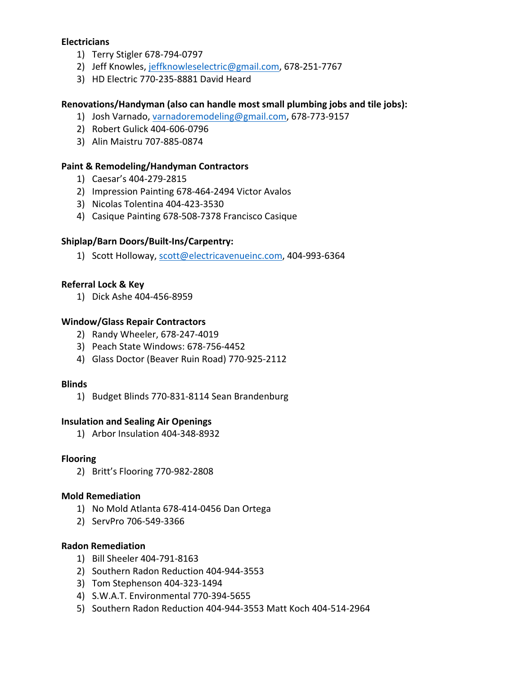### **Electricians**

- 1) Terry Stigler 678‐794‐0797
- 2) Jeff Knowles, jeffknowleselectric@gmail.com, 678‐251‐7767
- 3) HD Electric 770‐235‐8881 David Heard

### **Renovations/Handyman (also can handle most small plumbing jobs and tile jobs):**

- 1) Josh Varnado, varnadoremodeling@gmail.com, 678-773-9157
- 2) Robert Gulick 404‐606‐0796
- 3) Alin Maistru 707‐885‐0874

### **Paint & Remodeling/Handyman Contractors**

- 1) Caesar's 404‐279‐2815
- 2) Impression Painting 678‐464‐2494 Victor Avalos
- 3) Nicolas Tolentina 404‐423‐3530
- 4) Casique Painting 678‐508‐7378 Francisco Casique

## **Shiplap/Barn Doors/Built‐Ins/Carpentry:**

1) Scott Holloway, scott@electricavenueinc.com, 404-993-6364

### **Referral Lock & Key**

1) Dick Ashe 404‐456‐8959

### **Window/Glass Repair Contractors**

- 2) Randy Wheeler, 678‐247‐4019
- 3) Peach State Windows: 678‐756‐4452
- 4) Glass Doctor (Beaver Ruin Road) 770‐925‐2112

### **Blinds**

1) Budget Blinds 770‐831‐8114 Sean Brandenburg

### **Insulation and Sealing Air Openings**

1) Arbor Insulation 404‐348‐8932

### **Flooring**

2) Britt's Flooring 770‐982‐2808

### **Mold Remediation**

- 1) No Mold Atlanta 678‐414‐0456 Dan Ortega
- 2) ServPro 706‐549‐3366

### **Radon Remediation**

- 1) Bill Sheeler 404‐791‐8163
- 2) Southern Radon Reduction 404‐944‐3553
- 3) Tom Stephenson 404‐323‐1494
- 4) S.W.A.T. Environmental 770‐394‐5655
- 5) Southern Radon Reduction 404‐944‐3553 Matt Koch 404‐514‐2964